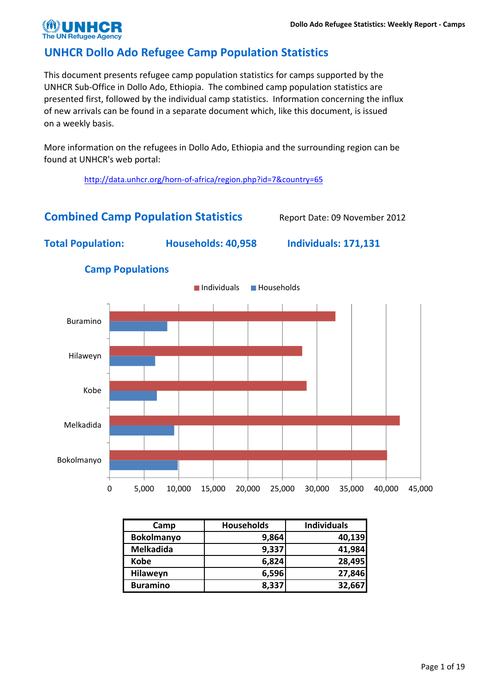## UNHCR Dollo Ado Refugee Camp Population Statistics

This document presents refugee camp population statistics for camps supported by the UNHCR Sub-Office in Dollo Ado, Ethiopia. The combined camp population statistics are presented first, followed by the individual camp statistics. Information concerning the influx of new arrivals can be found in a separate document which, like this document, is issued on a weekly basis.

More information on the refugees in Dollo Ado, Ethiopia and the surrounding region can be found at UNHCR's web portal:

http://data.unhcr.org/horn-of-africa/region.php?id=7&country=65

## Combined Camp Population Statistics Report Date: 09 November 2012

Total Population: Households: 40,958 Individuals: 171,131



#### Camp Populations

| Camp              | <b>Households</b> | <b>Individuals</b> |
|-------------------|-------------------|--------------------|
| <b>Bokolmanyo</b> | 9,864             | 40,139             |
| <b>Melkadida</b>  | 9,337             | 41,984             |
| <b>Kobe</b>       | 6,824             | 28,495             |
| Hilaweyn          | 6,596             | 27,846             |
| <b>Buramino</b>   | 8,337             | 32,667             |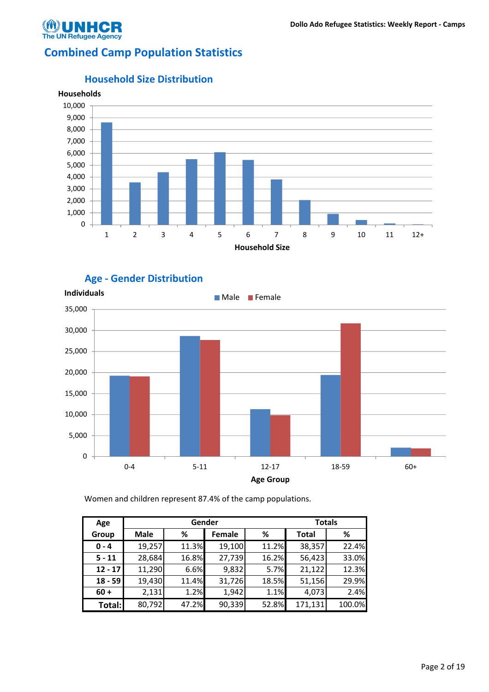

## Combined Camp Population Statistics



#### Household Size Distribution





Women and children represent 87.4% of the camp populations.

| Age       |             |       | Gender |       | <b>Totals</b> |        |
|-----------|-------------|-------|--------|-------|---------------|--------|
| Group     | <b>Male</b> | %     | Female | %     | <b>Total</b>  | %      |
| $0 - 4$   | 19,257      | 11.3% | 19,100 | 11.2% | 38,357        | 22.4%  |
| $5 - 11$  | 28,684      | 16.8% | 27,739 | 16.2% | 56,423        | 33.0%  |
| $12 - 17$ | 11,290      | 6.6%  | 9,832  | 5.7%  | 21,122        | 12.3%  |
| $18 - 59$ | 19,430      | 11.4% | 31,726 | 18.5% | 51,156        | 29.9%  |
| $60 +$    | 2,131       | 1.2%  | 1,942  | 1.1%  | 4,073         | 2.4%   |
| Total:    | 80,792      | 47.2% | 90,339 | 52.8% | 171,131       | 100.0% |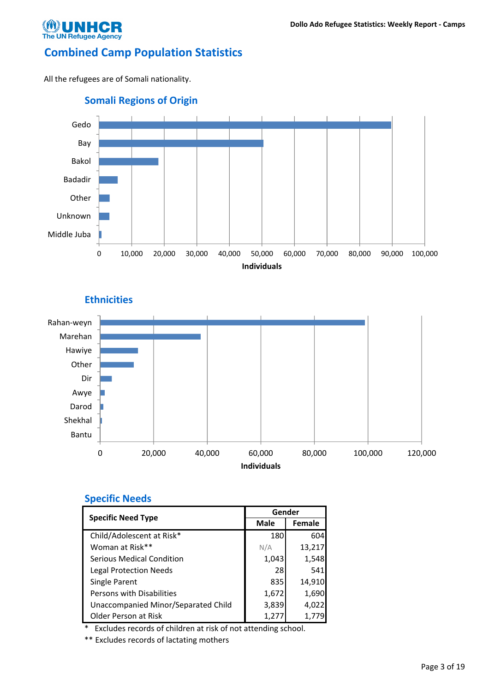

## Combined Camp Population Statistics

All the refugees are of Somali nationality.



**Ethnicities** 



### Specific Needs

|                                     | Gender      |               |
|-------------------------------------|-------------|---------------|
| <b>Specific Need Type</b>           | <b>Male</b> | <b>Female</b> |
| Child/Adolescent at Risk*           | 180         | 604           |
| Woman at Risk**                     | N/A         | 13,217        |
| Serious Medical Condition           | 1,043       | 1,548         |
| <b>Legal Protection Needs</b>       | 28          | 541           |
| Single Parent                       | 835         | 14,910        |
| Persons with Disabilities           | 1,672       | 1,690         |
| Unaccompanied Minor/Separated Child | 3,839       | 4,022         |
| Older Person at Risk                | 1,277       | 1.779         |

Excludes records of children at risk of not attending school.

\*\* Excludes records of lactating mothers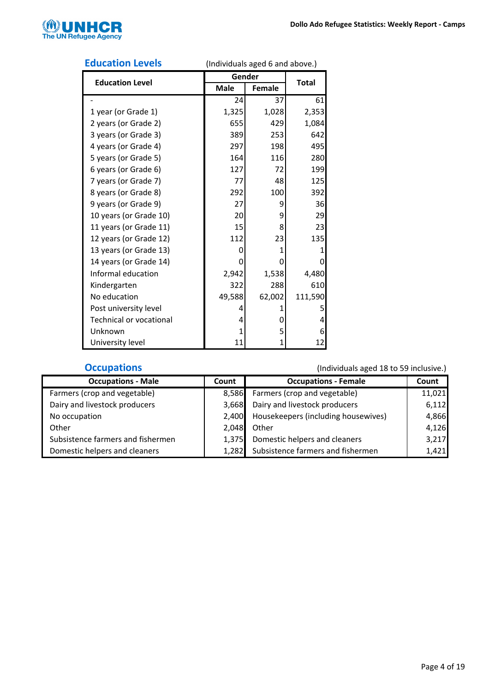

|                                |        | $arrightarrow$ and $arrightarrow$ and $arrightarrow$ |         |
|--------------------------------|--------|------------------------------------------------------|---------|
| <b>Education Level</b>         | Gender | <b>Total</b>                                         |         |
|                                | Male   | <b>Female</b>                                        |         |
|                                | 24     | 37                                                   | 61      |
| 1 year (or Grade 1)            | 1,325  | 1,028                                                | 2,353   |
| 2 years (or Grade 2)           | 655    | 429                                                  | 1,084   |
| 3 years (or Grade 3)           | 389    | 253                                                  | 642     |
| 4 years (or Grade 4)           | 297    | 198                                                  | 495     |
| 5 years (or Grade 5)           | 164    | 116                                                  | 280     |
| 6 years (or Grade 6)           | 127    | 72                                                   | 199     |
| 7 years (or Grade 7)           | 77     | 48                                                   | 125     |
| 8 years (or Grade 8)           | 292    | 100                                                  | 392     |
| 9 years (or Grade 9)           | 27     | 9                                                    | 36      |
| 10 years (or Grade 10)         | 20     | 9                                                    | 29      |
| 11 years (or Grade 11)         | 15     | 8                                                    | 23      |
| 12 years (or Grade 12)         | 112    | 23                                                   | 135     |
| 13 years (or Grade 13)         | 0      | 1                                                    | 1       |
| 14 years (or Grade 14)         | 0      | 0                                                    | 0       |
| Informal education             | 2,942  | 1,538                                                | 4,480   |
| Kindergarten                   | 322    | 288                                                  | 610     |
| No education                   | 49,588 | 62,002                                               | 111,590 |
| Post university level          | 4      | 1                                                    | 5       |
| <b>Technical or vocational</b> | 4      | 0                                                    | 4       |
| Unknown                        | 1      | 5                                                    | 6       |
| University level               | 11     | 1                                                    | 12      |

#### Education Levels (Individuals aged 6 and above.)

| <b>Occupations - Male</b>         | Count | <b>Occupations - Female</b>               | Count  |
|-----------------------------------|-------|-------------------------------------------|--------|
| Farmers (crop and vegetable)      |       | 8,586 Farmers (crop and vegetable)        | 11,021 |
| Dairy and livestock producers     | 3.668 | Dairy and livestock producers             | 6,112  |
| No occupation                     |       | 2,400 Housekeepers (including housewives) | 4,866  |
| Other                             | 2,048 | Other                                     | 4,126  |
| Subsistence farmers and fishermen | 1.375 | Domestic helpers and cleaners             | 3,217  |
| Domestic helpers and cleaners     |       | 1,282 Subsistence farmers and fishermen   | 1,421  |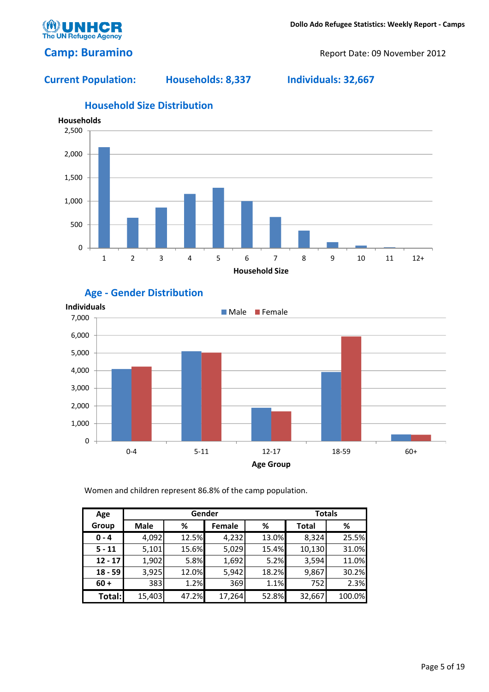

### Camp: Buramino Report Date: 09 November 2012

### Current Population: Households: 8,337 Individuals: 32,667



## Household Size Distribution





Women and children represent 86.8% of the camp population.

| Age       |             |       | Gender |       | <b>Totals</b> |        |
|-----------|-------------|-------|--------|-------|---------------|--------|
| Group     | <b>Male</b> | %     | Female | %     | <b>Total</b>  | %      |
| $0 - 4$   | 4,092       | 12.5% | 4,232  | 13.0% | 8,324         | 25.5%  |
| $5 - 11$  | 5,101       | 15.6% | 5,029  | 15.4% | 10,130        | 31.0%  |
| $12 - 17$ | 1,902       | 5.8%  | 1,692  | 5.2%  | 3,594         | 11.0%  |
| $18 - 59$ | 3,925       | 12.0% | 5,942  | 18.2% | 9,867         | 30.2%  |
| $60 +$    | 383         | 1.2%  | 369    | 1.1%  | 752           | 2.3%   |
| Total:    | 15,403      | 47.2% | 17,264 | 52.8% | 32,667        | 100.0% |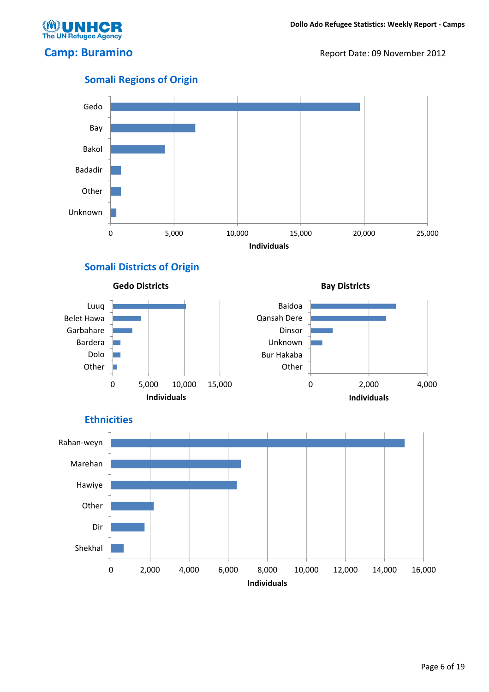**UN Refugee Agency** 

Camp: Buramino Report Date: 09 November 2012



## Somali Districts of Origin







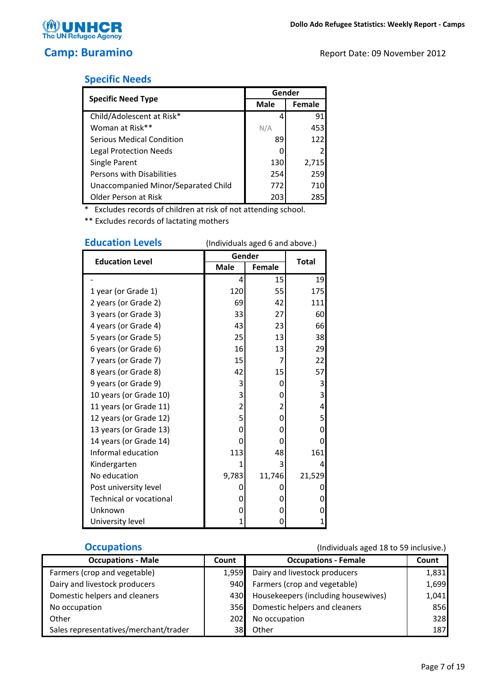

## Specific Needs

|                                     | Gender      |        |
|-------------------------------------|-------------|--------|
| <b>Specific Need Type</b>           | <b>Male</b> | Female |
| Child/Adolescent at Risk*           |             | 91     |
| Woman at Risk**                     | N/A         | 453    |
| Serious Medical Condition           | 89          | 122    |
| Legal Protection Needs              |             |        |
| Single Parent                       | 130         | 2,715  |
| Persons with Disabilities           | 254         | 259    |
| Unaccompanied Minor/Separated Child | 772         | 710    |
| Older Person at Risk                | 203         | 285    |

\* Excludes records of children at risk of not attending school.

\*\* Excludes records of lactating mothers

| <b>Education Levels</b>        | (Individuals aged 6 and above.) |               |              |  |  |
|--------------------------------|---------------------------------|---------------|--------------|--|--|
| <b>Education Level</b>         | Gender                          |               | <b>Total</b> |  |  |
|                                | <b>Male</b>                     | <b>Female</b> |              |  |  |
|                                | 4                               | 15            | 19           |  |  |
| 1 year (or Grade 1)            | 120                             | 55            | 175          |  |  |
| 2 years (or Grade 2)           | 69                              | 42            | 111          |  |  |
| 3 years (or Grade 3)           | 33                              | 27            | 60           |  |  |
| 4 years (or Grade 4)           | 43                              | 23            | 66           |  |  |
| 5 years (or Grade 5)           | 25                              | 13            | 38           |  |  |
| 6 years (or Grade 6)           | 16                              | 13            | 29           |  |  |
| 7 years (or Grade 7)           | 15                              | 7             | 22           |  |  |
| 8 years (or Grade 8)           | 42                              | 15            | 57           |  |  |
| 9 years (or Grade 9)           | 3                               | 0             | 3            |  |  |
| 10 years (or Grade 10)         | 3                               | 0             | 3            |  |  |
| 11 years (or Grade 11)         | 2                               | 2             | 4            |  |  |
| 12 years (or Grade 12)         | 5                               | 0             | 5            |  |  |
| 13 years (or Grade 13)         | 0                               | 0             | 0            |  |  |
| 14 years (or Grade 14)         | 0                               | 0             | 0            |  |  |
| Informal education             | 113                             | 48            | 161          |  |  |
| Kindergarten                   | 1                               | 3             | 4            |  |  |
| No education                   | 9,783                           | 11,746        | 21,529       |  |  |
| Post university level          | 0                               | O             | 0            |  |  |
| <b>Technical or vocational</b> | 0                               | 0             | 0            |  |  |
| Unknown                        | 0                               | 0             | 0            |  |  |
| University level               | 1                               | 0             | 1            |  |  |

| <b>Occupations - Male</b>             | Count        | <b>Occupations - Female</b>         | Count |
|---------------------------------------|--------------|-------------------------------------|-------|
| Farmers (crop and vegetable)          | 1,959        | Dairy and livestock producers       | 1,831 |
| Dairy and livestock producers         | 940 <b>I</b> | Farmers (crop and vegetable)        | 1,699 |
| Domestic helpers and cleaners         | 430 <b>I</b> | Housekeepers (including housewives) | 1,041 |
| No occupation                         | 356 <b>I</b> | Domestic helpers and cleaners       | 856   |
| Other                                 | 202 <b>1</b> | No occupation                       | 328   |
| Sales representatives/merchant/trader | 38I          | Other                               | 187   |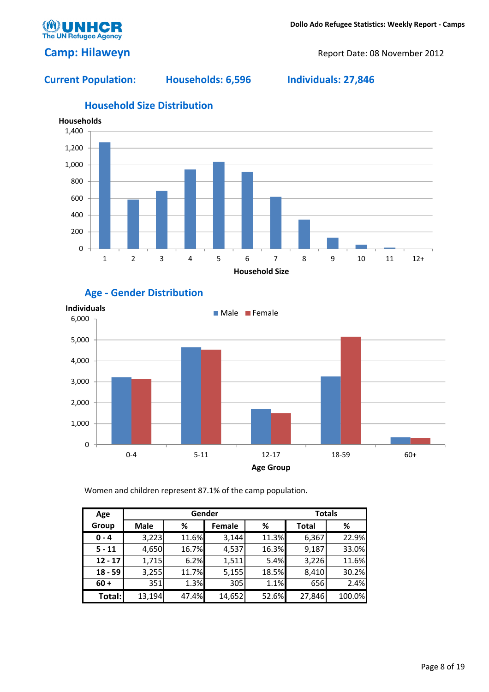Camp: Hilaweyn Report Date: 08 November 2012

**The UN Refugee Agency** 

### Current Population: Households: 6,596 Individuals: 27,846



# Age - Gender Distribution



Women and children represent 87.1% of the camp population.

| Age       |             |       | Gender        |       | <b>Totals</b> |        |
|-----------|-------------|-------|---------------|-------|---------------|--------|
| Group     | <b>Male</b> | %     | <b>Female</b> | %     | <b>Total</b>  | %      |
| $0 - 4$   | 3,223       | 11.6% | 3,144         | 11.3% | 6,367         | 22.9%  |
| $5 - 11$  | 4,650       | 16.7% | 4,537         | 16.3% | 9,187         | 33.0%  |
| $12 - 17$ | 1,715       | 6.2%  | 1,511         | 5.4%  | 3,226         | 11.6%  |
| $18 - 59$ | 3,255       | 11.7% | 5,155         | 18.5% | 8,410         | 30.2%  |
| $60 +$    | 351         | 1.3%  | 305           | 1.1%  | 656           | 2.4%   |
| Total:    | 13,194      | 47.4% | 14,652        | 52.6% | 27,846        | 100.0% |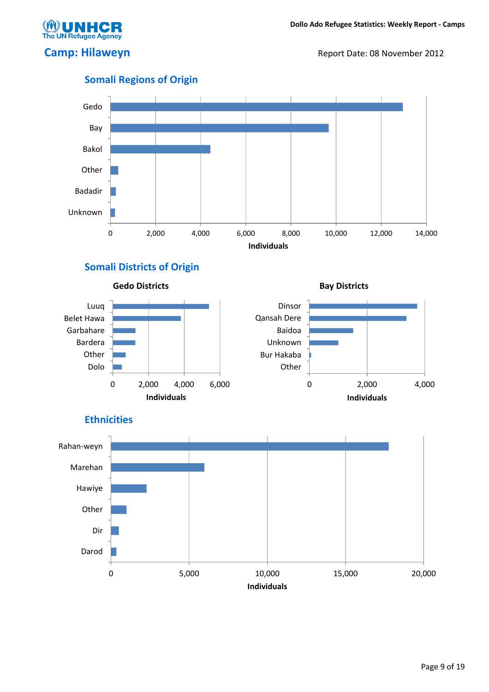**UN Refugee Agency** 

Camp: Hilaweyn Report Date: 08 November 2012



## Somali Regions of Origin

## Somali Districts of Origin







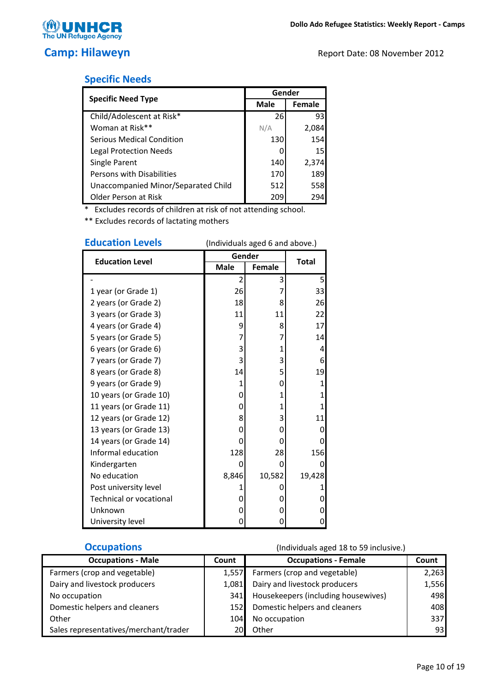

## Specific Needs

|                                     | Gender      |                 |
|-------------------------------------|-------------|-----------------|
| <b>Specific Need Type</b>           | <b>Male</b> | Female          |
| Child/Adolescent at Risk*           | 26          | 93              |
| Woman at Risk**                     | N/A         | 2,084           |
| Serious Medical Condition           | 130         | 154             |
| Legal Protection Needs              |             | 15 <sub>l</sub> |
| Single Parent                       | 140         | 2,374           |
| Persons with Disabilities           | 170         | 189             |
| Unaccompanied Minor/Separated Child | 512         | 558             |
| Older Person at Risk                | 209         | 294             |

\* Excludes records of children at risk of not attending school.

\*\* Excludes records of lactating mothers

| EUULALIUII LEVEIS       | (individuals aged 6 and above.) |              |              |  |
|-------------------------|---------------------------------|--------------|--------------|--|
| <b>Education Level</b>  | Gender                          | Total        |              |  |
|                         | <b>Male</b>                     | Female       |              |  |
|                         | 2                               | 3            | 5            |  |
| 1 year (or Grade 1)     | 26                              | 7            | 33           |  |
| 2 years (or Grade 2)    | 18                              | 8            | 26           |  |
| 3 years (or Grade 3)    | 11                              | 11           | 22           |  |
| 4 years (or Grade 4)    | 9                               | 8            | 17           |  |
| 5 years (or Grade 5)    | 7                               | 7            | 14           |  |
| 6 years (or Grade 6)    | 3                               | 1            | 4            |  |
| 7 years (or Grade 7)    | 3                               | 3            | 6            |  |
| 8 years (or Grade 8)    | 14                              | 5            | 19           |  |
| 9 years (or Grade 9)    | 1                               | 0            | $\mathbf{1}$ |  |
| 10 years (or Grade 10)  | 0                               | $\mathbf{1}$ | 1            |  |
| 11 years (or Grade 11)  | 0                               | 1            | 1            |  |
| 12 years (or Grade 12)  | 8                               | 3            | 11           |  |
| 13 years (or Grade 13)  | 0                               | 0            | 0            |  |
| 14 years (or Grade 14)  | 0                               | 0            | 0            |  |
| Informal education      | 128                             | 28           | 156          |  |
| Kindergarten            | 0                               | 0            | 0            |  |
| No education            | 8,846                           | 10,582       | 19,428       |  |
| Post university level   | 1                               | 0            | 1            |  |
| Technical or vocational | 0                               | 0            | 0            |  |
| Unknown                 | 0                               | 0            | 0            |  |
| University level        | 0                               | 0            | 0            |  |

# Education Levels (Individuals aged 6 and above.)

| <b>Occupations - Male</b>             | Count | <b>Occupations - Female</b>         | Count |
|---------------------------------------|-------|-------------------------------------|-------|
| Farmers (crop and vegetable)          | 1.557 | Farmers (crop and vegetable)        | 2,263 |
| Dairy and livestock producers         | 1.081 | Dairy and livestock producers       | 1,556 |
| No occupation                         | 341   | Housekeepers (including housewives) | 498   |
| Domestic helpers and cleaners         | 1521  | Domestic helpers and cleaners       | 408   |
| Other                                 | 104   | No occupation                       | 337   |
| Sales representatives/merchant/trader | 201   | Other                               | 931   |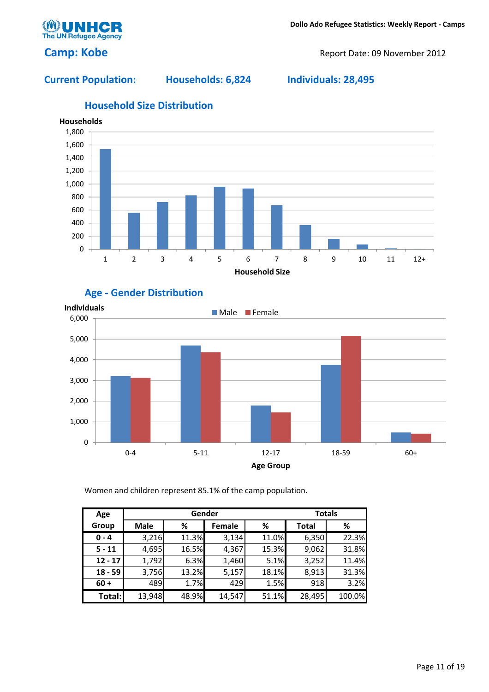Camp: Kobe Report Date: 09 November 2012

The UN Refugee Age

Current Population: Households: 6,824 Individuals: 28,495



## Household Size Distribution

## Age - Gender Distribution



Women and children represent 85.1% of the camp population.

| Age       |             |       | Gender |       | <b>Totals</b> |        |
|-----------|-------------|-------|--------|-------|---------------|--------|
| Group     | <b>Male</b> | %     | Female | %     | Total         | %      |
| $0 - 4$   | 3,216       | 11.3% | 3,134  | 11.0% | 6,350         | 22.3%  |
| $5 - 11$  | 4,695       | 16.5% | 4,367  | 15.3% | 9,062         | 31.8%  |
| $12 - 17$ | 1,792       | 6.3%  | 1,460  | 5.1%  | 3,252         | 11.4%  |
| $18 - 59$ | 3,756       | 13.2% | 5,157  | 18.1% | 8,913         | 31.3%  |
| $60 +$    | 489         | 1.7%  | 429    | 1.5%  | 918           | 3.2%   |
| Total:    | 13,948      | 48.9% | 14,547 | 51.1% | 28,495        | 100.0% |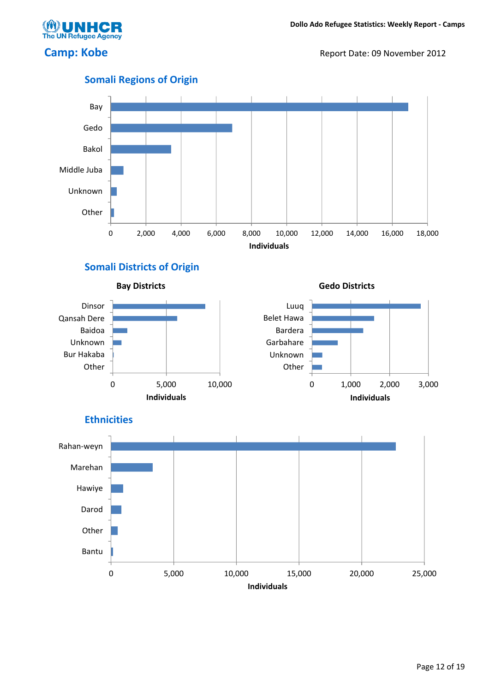**The UN Refugee Agency** 

Camp: Kobe Report Date: 09 November 2012



## Somali Regions of Origin

## Somali Districts of Origin







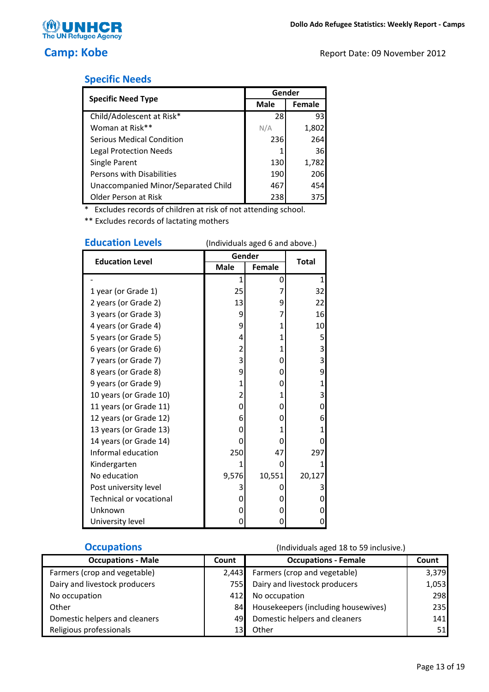

The UN Refugee Agency

|  | <b>Specific Needs</b> |
|--|-----------------------|
|  |                       |

|                                     | Gender      |        |
|-------------------------------------|-------------|--------|
| <b>Specific Need Type</b>           | <b>Male</b> | Female |
| Child/Adolescent at Risk*           | 28          | 93     |
| Woman at Risk**                     | N/A         | 1,802  |
| Serious Medical Condition           | 236         | 264    |
| <b>Legal Protection Needs</b>       |             | 36     |
| Single Parent                       | 130         | 1,782  |
| Persons with Disabilities           | 190         | 206    |
| Unaccompanied Minor/Separated Child | 467         | 454    |
| Older Person at Risk                | 238         | 375    |

\* Excludes records of children at risk of not attending school.

\*\* Excludes records of lactating mothers

| <b>Education Levels</b>        | (Individuals aged 6 and above.) |               |                |  |
|--------------------------------|---------------------------------|---------------|----------------|--|
| <b>Education Level</b>         | Gender                          |               | <b>Total</b>   |  |
|                                | <b>Male</b>                     | <b>Female</b> |                |  |
|                                | 1                               | 0             | $\mathbf{1}$   |  |
| 1 year (or Grade 1)            | 25                              | 7             | 32             |  |
| 2 years (or Grade 2)           | 13                              | 9             | 22             |  |
| 3 years (or Grade 3)           | 9                               | 7             | 16             |  |
| 4 years (or Grade 4)           | 9                               | 1             | 10             |  |
| 5 years (or Grade 5)           | 4                               | 1             | 5              |  |
| 6 years (or Grade 6)           | 2                               | 1             | 3              |  |
| 7 years (or Grade 7)           | 3                               | 0             | 3              |  |
| 8 years (or Grade 8)           | 9                               | 0             | 9              |  |
| 9 years (or Grade 9)           | 1                               | 0             | $\overline{1}$ |  |
| 10 years (or Grade 10)         | 2                               | 1             | 3              |  |
| 11 years (or Grade 11)         | 0                               | 0             | 0              |  |
| 12 years (or Grade 12)         | 6                               | 0             | 6              |  |
| 13 years (or Grade 13)         | 0                               | 1             | 1              |  |
| 14 years (or Grade 14)         | 0                               | 0             | 0              |  |
| Informal education             | 250                             | 47            | 297            |  |
| Kindergarten                   | 1                               | 0             | 1              |  |
| No education                   | 9,576                           | 10,551        | 20,127         |  |
| Post university level          | 3                               | 0             | 3              |  |
| <b>Technical or vocational</b> | 0                               | 0             | 0              |  |
| Unknown                        | 0                               | 0             | 0              |  |
| University level               | 0                               | 0             | 0              |  |

**Occupations** (Individuals aged 18 to 59 inclusive.) Count Count Occupations - Male Occupations - Female Farmers (crop and vegetable) 2,443 Farmers (crop and vegetable) 3,379 Dairy and livestock producers 1,053 Dairy and livestock producers 1,053 No occupation and the contract of the 412 No occupation and the 298 Other **84** Housekeepers (including housewives) 235 Domestic helpers and cleaners 141 and 49 Domestic helpers and cleaners 141 Religious professionals and the 13 Other 13 Other 13 Other 13 Other 13 Other 151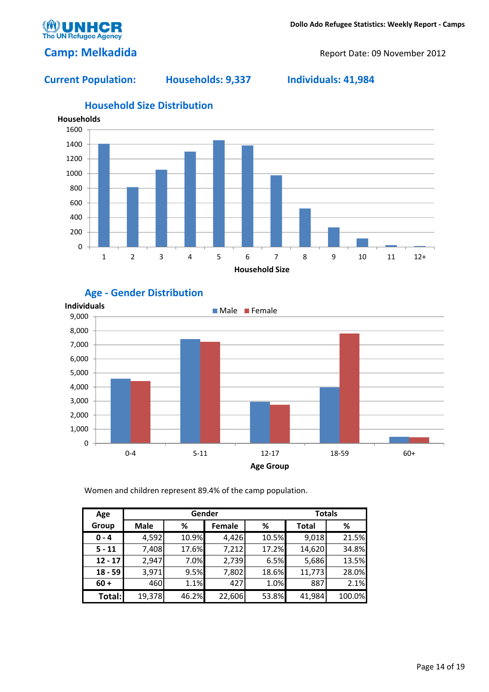

## Camp: Melkadida **Camp: Melkadida** Report Date: 09 November 2012

### Current Population: Households: 9,337 Individuals: 41,984



## Household Size Distribution





Women and children represent 89.4% of the camp population.

| Age       |             |       | Gender |       |              | <b>Totals</b> |
|-----------|-------------|-------|--------|-------|--------------|---------------|
| Group     | <b>Male</b> | %     | Female | ℅     | <b>Total</b> | %             |
| $0 - 4$   | 4,592       | 10.9% | 4,426  | 10.5% | 9,018        | 21.5%         |
| $5 - 11$  | 7,408       | 17.6% | 7,212  | 17.2% | 14,620       | 34.8%         |
| $12 - 17$ | 2,947       | 7.0%  | 2,739  | 6.5%  | 5,686        | 13.5%         |
| $18 - 59$ | 3,971       | 9.5%  | 7,802  | 18.6% | 11,773       | 28.0%         |
| $60 +$    | 460         | 1.1%  | 427    | 1.0%  | 887          | 2.1%          |
| Total:    | 19,378      | 46.2% | 22,606 | 53.8% | 41,984       | 100.0%        |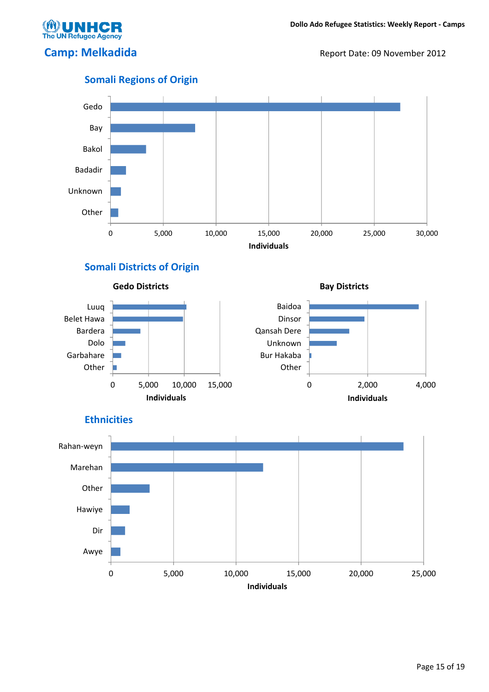**UN Refugee Agency** 

Camp: Melkadida **Camp: Melkadida** Report Date: 09 November 2012



## Somali Districts of Origin







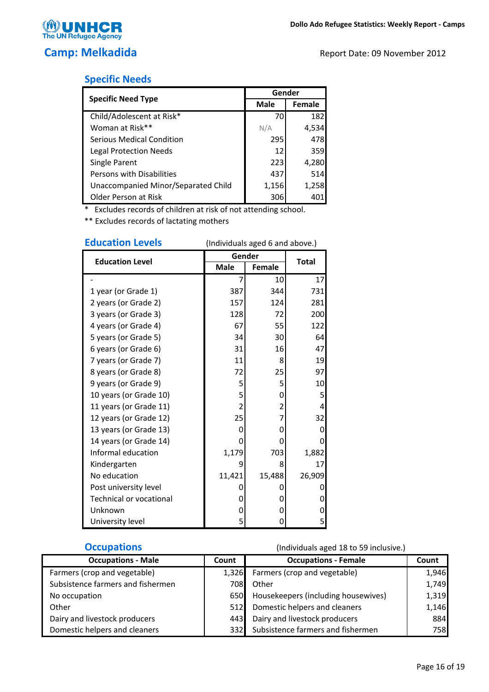

## Specific Needs

|                                     | Gender |               |  |
|-------------------------------------|--------|---------------|--|
| <b>Specific Need Type</b>           | Male   | <b>Female</b> |  |
| Child/Adolescent at Risk*           | 70     | 182           |  |
| Woman at Risk**                     | N/A    | 4,534         |  |
| <b>Serious Medical Condition</b>    | 295    | 478           |  |
| <b>Legal Protection Needs</b>       | 12     | 359           |  |
| Single Parent                       | 223    | 4,280         |  |
| Persons with Disabilities           | 437    | 514           |  |
| Unaccompanied Minor/Separated Child | 1,156  | 1,258         |  |
| Older Person at Risk                | 306    |               |  |

\* Excludes records of children at risk of not attending school.

\*\* Excludes records of lactating mothers

| EQUCALION LEVEIS               | (individuals aged 6 and above.) |                |              |
|--------------------------------|---------------------------------|----------------|--------------|
| <b>Education Level</b>         | Gender                          |                | <b>Total</b> |
|                                | <b>Male</b>                     | <b>Female</b>  |              |
|                                | 7                               | 10             | 17           |
| 1 year (or Grade 1)            | 387                             | 344            | 731          |
| 2 years (or Grade 2)           | 157                             | 124            | 281          |
| 3 years (or Grade 3)           | 128                             | 72             | 200          |
| 4 years (or Grade 4)           | 67                              | 55             | 122          |
| 5 years (or Grade 5)           | 34                              | 30             | 64           |
| 6 years (or Grade 6)           | 31                              | 16             | 47           |
| 7 years (or Grade 7)           | 11                              | 8              | 19           |
| 8 years (or Grade 8)           | 72                              | 25             | 97           |
| 9 years (or Grade 9)           | 5                               | 5              | 10           |
| 10 years (or Grade 10)         | 5                               | 0              | 5            |
| 11 years (or Grade 11)         | 2                               | $\overline{2}$ | 4            |
| 12 years (or Grade 12)         | 25                              | 7              | 32           |
| 13 years (or Grade 13)         | 0                               | 0              | 0            |
| 14 years (or Grade 14)         | 0                               | 0              | 0            |
| Informal education             | 1,179                           | 703            | 1,882        |
| Kindergarten                   | 9                               | 8              | 17           |
| No education                   | 11,421                          | 15,488         | 26,909       |
| Post university level          | 0                               | 0              | 0            |
| <b>Technical or vocational</b> | 0                               | 0              | 0            |
| Unknown                        | 0                               | 0              | 0            |
| University level               | 5                               | 0              | 5            |

# Education Levels (Individuals aged 6 and above.)

| <b>Occupations - Male</b>         | Count | <b>Occupations - Female</b>         | Count |
|-----------------------------------|-------|-------------------------------------|-------|
| Farmers (crop and vegetable)      | 1,326 | Farmers (crop and vegetable)        | 1,946 |
| Subsistence farmers and fishermen | 708   | Other                               | 1,749 |
| No occupation                     | 650   | Housekeepers (including housewives) | 1,319 |
| Other                             | 512   | Domestic helpers and cleaners       | 1,146 |
| Dairy and livestock producers     | 443   | Dairy and livestock producers       | 884   |
| Domestic helpers and cleaners     | 332   | Subsistence farmers and fishermen   | 758l  |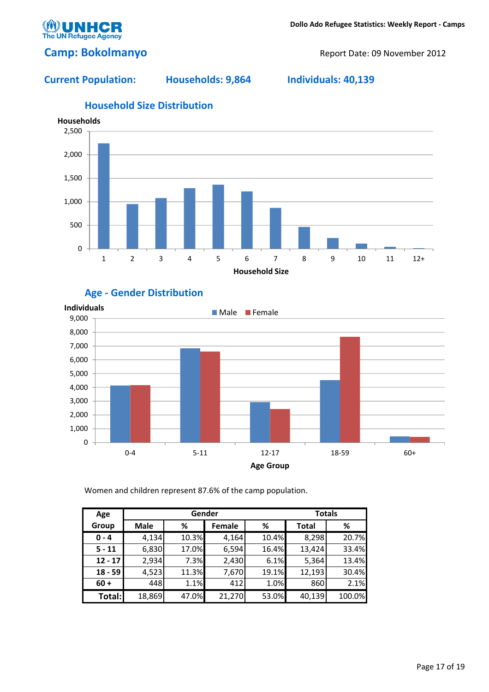

## Camp: Bokolmanyo Report Date: 09 November 2012

### Current Population: Households: 9,864 Individuals: 40,139



## Age - Gender Distribution



Women and children represent 87.6% of the camp population.

| Age       |             |       | Gender |       | <b>Totals</b> |        |
|-----------|-------------|-------|--------|-------|---------------|--------|
| Group     | <b>Male</b> | %     | Female | %     | <b>Total</b>  | %      |
| $0 - 4$   | 4,134       | 10.3% | 4,164  | 10.4% | 8,298         | 20.7%  |
| $5 - 11$  | 6,830       | 17.0% | 6,594  | 16.4% | 13,424        | 33.4%  |
| $12 - 17$ | 2,934       | 7.3%  | 2,430  | 6.1%  | 5,364         | 13.4%  |
| $18 - 59$ | 4,523       | 11.3% | 7,670  | 19.1% | 12,193        | 30.4%  |
| $60 +$    | 448         | 1.1%  | 412    | 1.0%  | 860           | 2.1%   |
| Total:    | 18,869      | 47.0% | 21,270 | 53.0% | 40,139        | 100.0% |

## Household Size Distribution

#### Page 17 of 19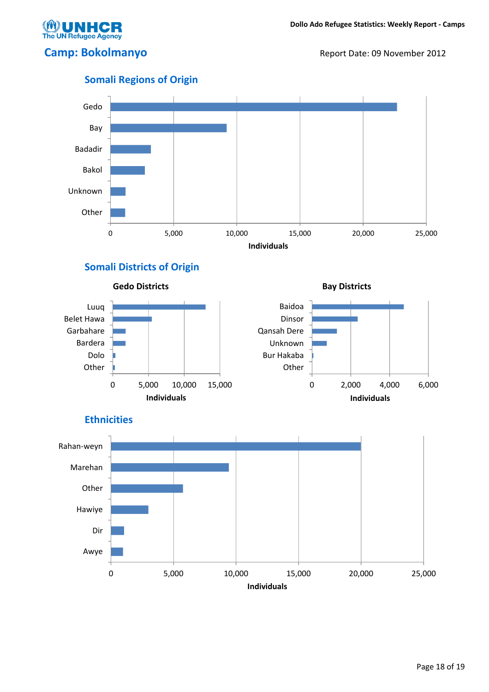

Camp: Bokolmanyo Report Date: 09 November 2012



## Somali Districts of Origin